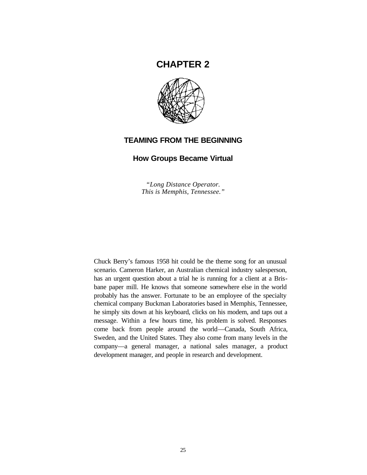# **CHAPTER 2**



## **TEAMING FROM THE BEGINNING**

## **How Groups Became Virtual**

*"Long Distance Operator. This is Memphis, Tennessee."*

Chuck Berry's famous 1958 hit could be the theme song for an unusual scenario. Cameron Harker, an Australian chemical industry salesperson, has an urgent question about a trial he is running for a client at a Brisbane paper mill. He knows that someone somewhere else in the world probably has the answer. Fortunate to be an employee of the specialty chemical company Buckman Laboratories based in Memphis, Tennessee, he simply sits down at his keyboard, clicks on his modem, and taps out a message. Within a few hours time, his problem is solved. Responses come back from people around the world—Canada, South Africa, Sweden, and the United States. They also come from many levels in the company—a general manager, a national sales manager, a product development manager, and people in research and development.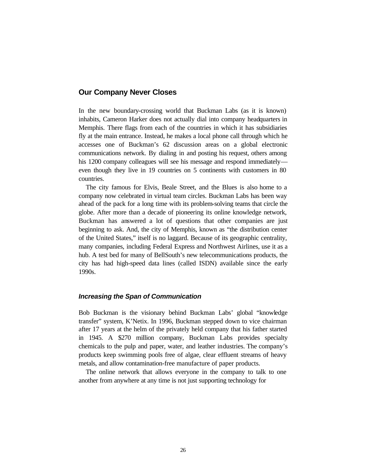## **Our Company Never Closes**

In the new boundary-crossing world that Buckman Labs (as it is known) inhabits, Cameron Harker does not actually dial into company headquarters in Memphis. There flags from each of the countries in which it has subsidiaries fly at the main entrance. Instead, he makes a local phone call through which he accesses one of Buckman's 62 discussion areas on a global electronic communications network. By dialing in and posting his request, others among his 1200 company colleagues will see his message and respond immediately even though they live in 19 countries on 5 continents with customers in 80 countries.

The city famous for Elvis, Beale Street, and the Blues is also home to a company now celebrated in virtual team circles. Buckman Labs has been way ahead of the pack for a long time with its problem-solving teams that circle the globe. After more than a decade of pioneering its online knowledge network, Buckman has answered a lot of questions that other companies are just beginning to ask. And, the city of Memphis, known as "the distribution center of the United States," itself is no laggard. Because of its geographic centrality, many companies, including Federal Express and Northwest Airlines, use it as a hub. A test bed for many of BellSouth's new telecommunications products, the city has had high-speed data lines (called ISDN) available since the early 1990s.

### *Increasing the Span of Communication*

Bob Buckman is the visionary behind Buckman Labs' global "knowledge transfer" system, K'Netix. In 1996, Buckman stepped down to vice chairman after 17 years at the helm of the privately held company that his father started in 1945. A \$270 million company, Buckman Labs provides specialty chemicals to the pulp and paper, water, and leather industries. The company's products keep swimming pools free of algae, clear effluent streams of heavy metals, and allow contamination-free manufacture of paper products.

The online network that allows everyone in the company to talk to one another from anywhere at any time is not just supporting technology for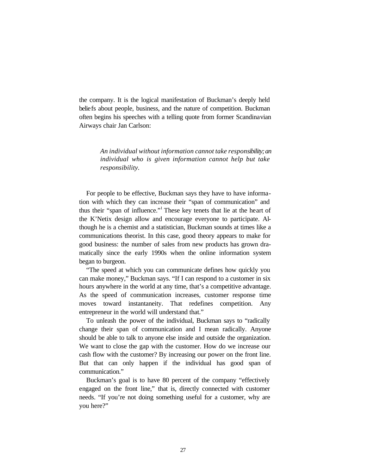the company. It is the logical manifestation of Buckman's deeply held beliefs about people, business, and the nature of competition. Buckman often begins his speeches with a telling quote from former Scandinavian Airways chair Jan Carlson:

> *An individual without information cannot take responsibility; an individual who is given information cannot help but take responsibility.*

For people to be effective, Buckman says they have to have information with which they can increase their "span of communication" and thus their "span of influence."<sup>1</sup>These key tenets that lie at the heart of the K'Netix design allow and encourage everyone to participate. Although he is a chemist and a statistician, Buckman sounds at times like a communications theorist. In this case, good theory appears to make for good business: the number of sales from new products has grown dramatically since the early 1990s when the online information system began to burgeon.

"The speed at which you can communicate defines how quickly you can make money," Buckman says. "If I can respond to a customer in six hours anywhere in the world at any time, that's a competitive advantage. As the speed of communication increases, customer response time moves toward instantaneity. That redefines competition. Any entrepreneur in the world will understand that."

To unleash the power of the individual, Buckman says to "radically change their span of communication and I mean radically. Anyone should be able to talk to anyone else inside and outside the organization. We want to close the gap with the customer. How do we increase our cash flow with the customer? By increasing our power on the front line. But that can only happen if the individual has good span of communication."

Buckman's goal is to have 80 percent of the company "effectively engaged on the front line," that is, directly connected with customer needs. "If you're not doing something useful for a customer, why are you here?"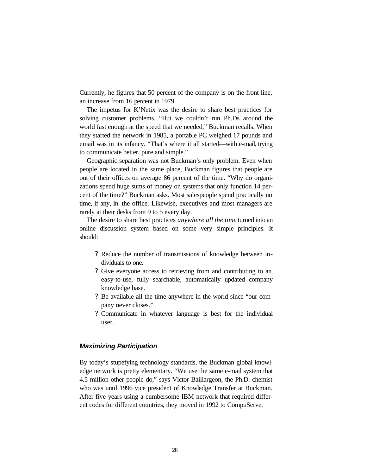Currently, he figures that 50 percent of the company is on the front line, an increase from 16 percent in 1979.

The impetus for K'Netix was the desire to share best practices for solving customer problems. "But we couldn't run Ph.Ds around the world fast enough at the speed that we needed," Buckman recalls. When they started the network in 1985, a portable PC weighed 17 pounds and email was in its infancy. "That's where it all started—with e-mail, trying to communicate better, pure and simple."

Geographic separation was not Buckman's only problem. Even when people are located in the same place, Buckman figures that people are out of their offices on average 86 percent of the time. "Why do organizations spend huge sums of money on systems that only function 14 percent of the time?" Buckman asks. Most salespeople spend practically no time, if any, in the office. Likewise, executives and most managers are rarely at their desks from 9 to 5 every day.

The desire to share best practices *anywhere all the time* turned into an online discussion system based on some very simple principles. It should:

- ? Reduce the number of transmissions of knowledge between individuals to one.
- ? Give everyone access to retrieving from and contributing to an easy-to-use, fully searchable, automatically updated company knowledge base.
- ? Be available all the time anywhere in the world since "our company never closes."
- ? Communicate in whatever language is best for the individual user.

#### *Maximizing Participation*

By today's stupefying technology standards, the Buckman global knowledge network is pretty elementary. "We use the same e-mail system that 4.5 million other people do," says Victor Baillargeon, the Ph.D. chemist who was until 1996 vice president of Knowledge Transfer at Buckman. After five years using a cumbersome IBM network that required different codes for different countries, they moved in 1992 to CompuServe,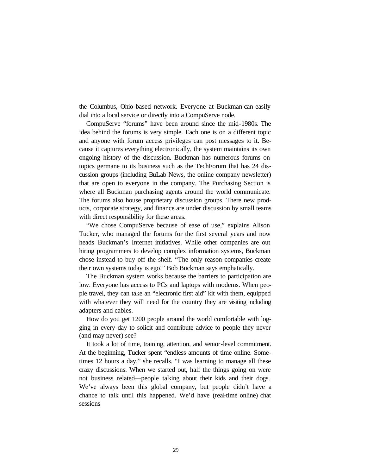the Columbus, Ohio-based network. Everyone at Buckman can easily dial into a local service or directly into a CompuServe node.

CompuServe "forums" have been around since the mid-1980s. The idea behind the forums is very simple. Each one is on a different topic and anyone with forum access privileges can post messages to it. Because it captures everything electronically, the system maintains its own ongoing history of the discussion. Buckman has numerous forums on topics germane to its business such as the TechForum that has 24 discussion groups (including BuLab News, the online company newsletter) that are open to everyone in the company. The Purchasing Section is where all Buckman purchasing agents around the world communicate. The forums also house proprietary discussion groups. There new products, corporate strategy, and finance are under discussion by small teams with direct responsibility for these areas.

"We chose CompuServe because of ease of use," explains Alison Tucker, who managed the forums for the first several years and now heads Buckman's Internet initiatives. While other companies are out hiring programmers to develop complex information systems, Buckman chose instead to buy off the shelf. "The only reason companies create their own systems today is ego!" Bob Buckman says emphatically.

The Buckman system works because the barriers to participation are low. Everyone has access to PCs and laptops with modems. When people travel, they can take an "electronic first aid" kit with them, equipped with whatever they will need for the country they are visiting including adapters and cables.

How do you get 1200 people around the world comfortable with logging in every day to solicit and contribute advice to people they never (and may never) see?

It took a lot of time, training, attention, and senior-level commitment. At the beginning, Tucker spent "endless amounts of time online. Sometimes 12 hours a day," she recalls. "I was learning to manage all these crazy discussions. When we started out, half the things going on were not business related—people talking about their kids and their dogs. We've always been this global company, but people didn't have a chance to talk until this happened. We'd have (real-time online) chat sessions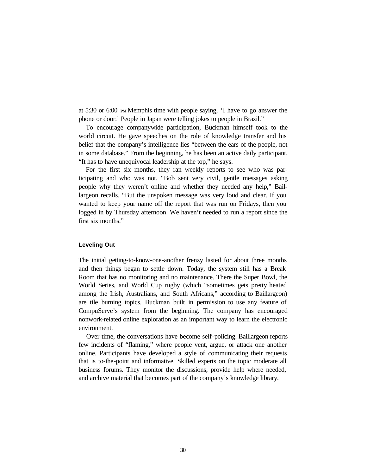at 5:30 or 6:00 **PM** Memphis time with people saying, 'I have to go answer the phone or door.' People in Japan were telling jokes to people in Brazil."

To encourage companywide participation, Buckman himself took to the world circuit. He gave speeches on the role of knowledge transfer and his belief that the company's intelligence lies "between the ears of the people, not in some database." From the beginning, he has been an active daily participant. "It has to have unequivocal leadership at the top," he says.

For the first six months, they ran weekly reports to see who was participating and who was not. "Bob sent very civil, gentle messages asking people why they weren't online and whether they needed any help," Baillargeon recalls. "But the unspoken message was very loud and clear. If you wanted to keep your name off the report that was run on Fridays, then you logged in by Thursday afternoon. We haven't needed to run a report since the first six months."

#### **Leveling Out**

The initial getting-to-know-one-another frenzy lasted for about three months and then things began to settle down. Today, the system still has a Break Room that has no monitoring and no maintenance. There the Super Bowl, the World Series, and World Cup rugby (which "sometimes gets pretty heated among the Irish, Australians, and South Africans," according to Baillargeon) are tile burning topics. Buckman built in permission to use any feature of CompuServe's system from the beginning. The company has encouraged nonwork-related online exploration as an important way to learn the electronic environment.

Over time, the conversations have become self-policing. Baillargeon reports few incidents of "flaming," where people vent, argue, or attack one another online. Participants have developed a style of communicating their requests that is to-the-point and informative. Skilled experts on the topic moderate all business forums. They monitor the discussions, provide help where needed, and archive material that becomes part of the company's knowledge library.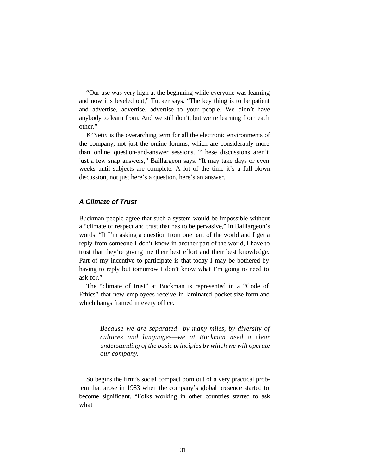"Our use was very high at the beginning while everyone was learning and now it's leveled out," Tucker says. "The key thing is to be patient and advertise, advertise, advertise to your people. We didn't have anybody to learn from. And we still don't, but we're learning from each other."

K'Netix is the overarching term for all the electronic environments of the company, not just the online forums, which are considerably more than online question-and-answer sessions. "These discussions aren't just a few snap answers," Baillargeon says. "It may take days or even weeks until subjects are complete. A lot of the time it's a full-blown discussion, not just here's a question, here's an answer.

### *A Climate of Trust*

Buckman people agree that such a system would be impossible without a "climate of respect and trust that has to be pervasive," in Baillargeon's words. "If I'm asking a question from one part of the world and I get a reply from someone I don't know in another part of the world, I have to trust that they're giving me their best effort and their best knowledge. Part of my incentive to participate is that today I may be bothered by having to reply but tomorrow I don't know what I'm going to need to ask for."

The "climate of trust" at Buckman is represented in a "Code of Ethics" that new employees receive in laminated pocket-size form and which hangs framed in every office.

> *Because we are separated—by many miles, by diversity of cultures and languages—we at Buckman need a clear understanding of the basic principles by which we will operate our company.*

So begins the firm's social compact born out of a very practical problem that arose in 1983 when the company's global presence started to become significant. "Folks working in other countries started to ask what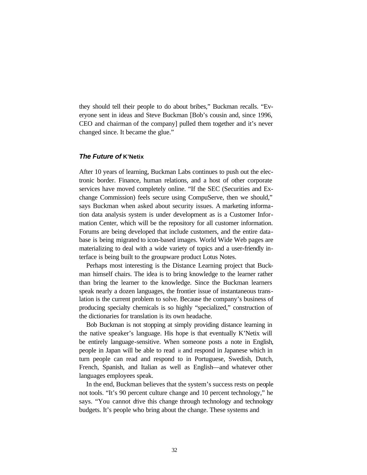they should tell their people to do about bribes," Buckman recalls. "Everyone sent in ideas and Steve Buckman [Bob's cousin and, since 1996, CEO and chairman of the company] pulled them together and it's never changed since. It became the glue."

#### *The Future of* **K'Netix**

After 10 years of learning, Buckman Labs continues to push out the electronic border. Finance, human relations, and a host of other corporate services have moved completely online. "If the SEC (Securities and Exchange Commission) feels secure using CompuServe, then we should," says Buckman when asked about security issues. A marketing information data analysis system is under development as is a Customer Information Center, which will be the repository for all customer information. Forums are being developed that include customers, and the entire database is being migrated to icon-based images. World Wide Web pages are materializing to deal with a wide variety of topics and a user-friendly interface is being built to the groupware product Lotus Notes.

Perhaps most interesting is the Distance Learning project that Buckman himself chairs. The idea is to bring knowledge to the learner rather than bring the learner to the knowledge. Since the Buckman learners speak nearly a dozen languages, the frontier issue of instantaneous translation is the current problem to solve. Because the company's business of producing specialty chemicals is so highly "specialized," construction of the dictionaries for translation is its own headache.

Bob Buckman is not stopping at simply providing distance learning in the native speaker's language. His hope is that eventually K'Netix will be entirely language-sensitive. When someone posts a note in English, people in Japan will be able to read it and respond in Japanese which in turn people can read and respond to in Portuguese, Swedish, Dutch, French, Spanish, and Italian as well as English—and whatever other languages employees speak.

In the end, Buckman believes that the system's success rests on people not tools. "It's 90 percent culture change and 10 percent technology," he says. "You cannot drive this change through technology and technology budgets. It's people who bring about the change. These systems and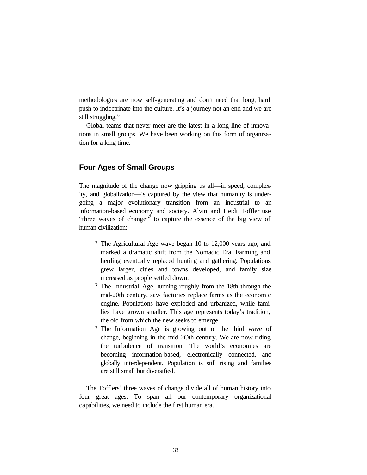methodologies are now self-generating and don't need that long, hard push to indoctrinate into the culture. It's a journey not an end and we are still struggling."

Global teams that never meet are the latest in a long line of innovations in small groups. We have been working on this form of organization for a long time.

## **Four Ages of Small Groups**

The magnitude of the change now gripping us all—in speed, complexity, and globalization—is captured by the view that humanity is undergoing a major evolutionary transition from an industrial to an information-based economy and society. Alvin and Heidi Toffler use "three waves of change"<sup>2</sup> to capture the essence of the big view of human civilization:

- ? The Agricultural Age wave began 10 to 12,000 years ago, and marked a dramatic shift from the Nomadic Era. Farming and herding eventually replaced hunting and gathering. Populations grew larger, cities and towns developed, and family size increased as people settled down.
- ? The Industrial Age, running roughly from the 18th through the mid-20th century, saw factories replace farms as the economic engine. Populations have exploded and urbanized, while families have grown smaller. This age represents today's tradition, the old from which the new seeks to emerge.
- ? The Information Age is growing out of the third wave of change, beginning in the mid-2Oth century. We are now riding the turbulence of transition. The world's economies are becoming information-based, electronically connected, and globally interdependent. Population is still rising and families are still small but diversified.

The Tofflers' three waves of change divide all of human history into four great ages. To span all our contemporary organizational capabilities, we need to include the first human era.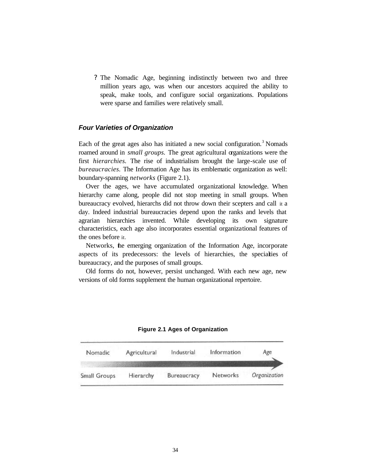? The Nomadic Age, beginning indistinctly between two and three million years ago, was when our ancestors acquired the ability to speak, make tools, and configure social organizations. Populations were sparse and families were relatively small.

### *Four Varieties of Organization*

Each of the great ages also has initiated a new social configuration.<sup>3</sup> Nomads roamed around in *small groups.* The great agricultural organizations were the first *hierarchies.* The rise of industrialism brought the large-scale use of *bureaucracies.* The Information Age has its emblematic organization as well: boundary-spanning *networks* (Figure 2.1).

Over the ages, we have accumulated organizational knowledge. When hierarchy came along, people did not stop meeting in small groups. When bureaucracy evolved, hierarchs did not throw down their scepters and call it a day. Indeed industrial bureaucracies depend upon the ranks and levels that agrarian hierarchies invented. While developing its own signature characteristics, each age also incorporates essential organizational features of the ones before it.

Networks, the emerging organization of the Information Age, incorporate aspects of its predecessors: the levels of hierarchies, the specialties of bureaucracy, and the purposes of small groups.

Old forms do not, however, persist unchanged. With each new age, new versions of old forms supplement the human organizational repertoire.

**Figure 2.1 Ages of Organization**

| Nomadic      | Agricultural | Industrial  | Information | Age          |
|--------------|--------------|-------------|-------------|--------------|
| Small Groups | Hierarchy    | Bureaucracy | Networks    | Organization |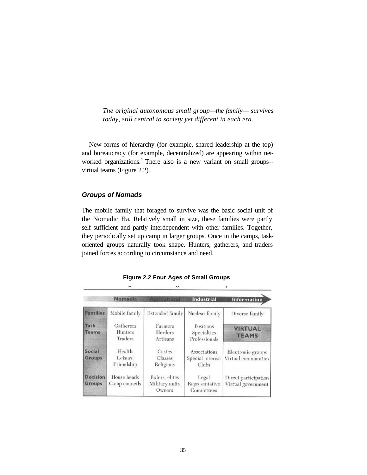*The original autonomous small group—the family— survives today, still central to society yet different in each era.*

New forms of hierarchy (for example, shared leadership at the top) and bureaucracy (for example, decentralized) are appearing within networked organizations.<sup>4</sup> There also is a new variant on small groups-virtual teams (Figure 2.2).

## *Groups of Nomads*

 $\overline{a}$ 

The mobile family that foraged to survive was the basic social unit of the Nomadic Era. Relatively small in size, these families were partly self-sufficient and partly interdependent with other families. Together, they periodically set up camp in larger groups. Once in the camps, taskoriented groups naturally took shape. Hunters, gatherers, and traders joined forces according to circumstance and need.

|                           | Nomadic                         | vricultural                                | Industrial                                       | <b>Information</b>                         |
|---------------------------|---------------------------------|--------------------------------------------|--------------------------------------------------|--------------------------------------------|
| <b>Families</b>           | Mobile family                   | Extended family                            | Nuclear family                                   | Diverse family                             |
| Task<br>Teams             | Gatherers<br>Hunters<br>Traders | <b>Farmers</b><br>Herders<br>Artisans      | Positions<br>Specialties<br>Professionals        | <b>VIRTUAL</b><br><b>TEAMS</b>             |
| Social<br><b>Groups</b>   | Health<br>Leisure<br>Friendship | Castes<br>Classes<br>Religious             | <b>Associations</b><br>Special interest<br>Clubs | Electronic groups<br>Virtual communities   |
| Decision<br><b>Groups</b> | House heads<br>Camp councils    | Rulers, elites<br>Military units<br>Owners | Legal<br>Representative<br>Committees            | Direct participation<br>Virtual government |

**Figure 2.2 Four Ages of Small Groups** $\mathcal{L}_{\mathcal{A}}$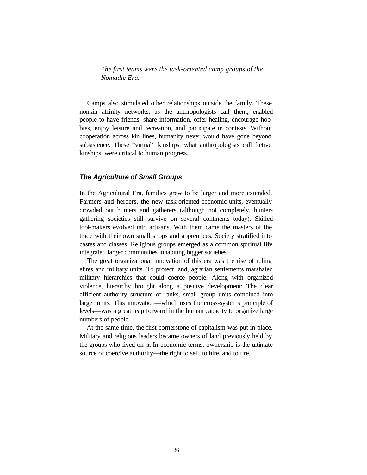*The first teams were the task-oriented camp groups of the Nomadic Era.*

Camps also stimulated other relationships outside the family. These nonkin affinity networks, as the anthropologists call them, enabled people to have friends, share information, offer healing, encourage hobbies, enjoy leisure and recreation, and participate in contests. Without cooperation across kin lines, humanity never would have gone beyond subsistence. These "virtual" kinships, what anthropologists call fictive kinships, were critical to human progress.

## *The Agriculture of Small Groups*

In the Agricultural Era, families grew to be larger and more extended. Farmers and herders, the new task-oriented economic units, eventually crowded out hunters and gatherers (although not completely, huntergathering societies still survive on several continents today). Skilled tool-makers evolved into artisans. With them came the masters of the trade with their own small shops and apprentices. Society stratified into castes and classes. Religious groups emerged as a common spiritual life integrated larger communities inhabiting bigger societies.

The great organizational innovation of this era was the rise of ruling elites and military units. To protect land, agrarian settlements marshaled military hierarchies that could coerce people. Along with organized violence, hierarchy brought along a positive development: The clear efficient authority structure of ranks, small group units combined into larger units. This innovation—which uses the cross-systems principle of levels—was a great leap forward in the human capacity to organize large numbers of people.

At the same time, the first cornerstone of capitalism was put in place. Military and religious leaders became owners of land previously held by the groups who lived on it. In economic terms, ownership is the ultimate source of coercive authority—the right to sell, to hire, and to fire.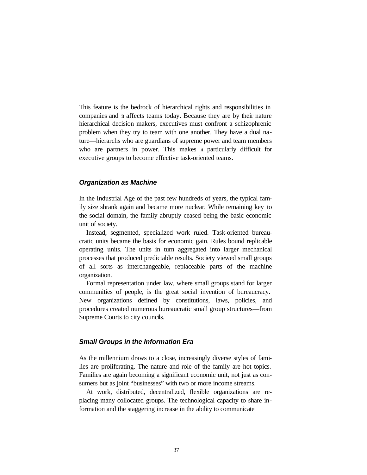This feature is the bedrock of hierarchical rights and responsibilities in companies and it affects teams today. Because they are by their nature hierarchical decision makers, executives must confront a schizophrenic problem when they try to team with one another. They have a dual nature—hierarchs who are guardians of supreme power and team members who are partners in power. This makes it particularly difficult for executive groups to become effective task-oriented teams.

#### *Organization as Machine*

In the Industrial Age of the past few hundreds of years, the typical family size shrank again and became more nuclear. While remaining key to the social domain, the family abruptly ceased being the basic economic unit of society.

Instead, segmented, specialized work ruled. Task-oriented bureaucratic units became the basis for economic gain. Rules bound replicable operating units. The units in turn aggregated into larger mechanical processes that produced predictable results. Society viewed small groups of all sorts as interchangeable, replaceable parts of the machine organization.

Formal representation under law, where small groups stand for larger communities of people, is the great social invention of bureaucracy. New organizations defined by constitutions, laws, policies, and procedures created numerous bureaucratic small group structures—from Supreme Courts to city councils.

#### *Small Groups in the Information Era*

As the millennium draws to a close, increasingly diverse styles of families are proliferating. The nature and role of the family are hot topics. Families are again becoming a significant economic unit, not just as consumers but as joint "businesses" with two or more income streams.

At work, distributed, decentralized, flexible organizations are replacing many collocated groups. The technological capacity to share information and the staggering increase in the ability to communicate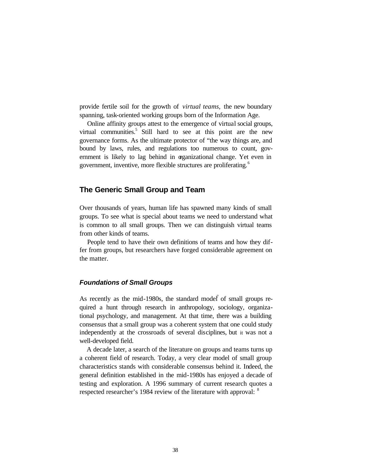provide fertile soil for the growth of *virtual teams,* the new boundary spanning, task-oriented working groups born of the Information Age.

Online affinity groups attest to the emergence of virtual social groups, virtual communities.<sup>5</sup> Still hard to see at this point are the new governance forms. As the ultimate protector of "the way things are, and bound by laws, rules, and regulations too numerous to count, government is likely to lag behind in organizational change. Yet even in government, inventive, more flexible structures are proliferating.<sup>6</sup>

### **The Generic Small Group and Team**

Over thousands of years, human life has spawned many kinds of small groups. To see what is special about teams we need to understand what is common to all small groups. Then we can distinguish virtual teams from other kinds of teams.

People tend to have their own definitions of teams and how they differ from groups, but researchers have forged considerable agreement on the matter.

#### *Foundations of Small Groups*

As recently as the mid-1980s, the standard model of small groups required a hunt through research in anthropology, sociology, organizational psychology, and management. At that time, there was a building consensus that a small group was a coherent system that one could study independently at the crossroads of several disciplines, but it was not a well-developed field.

A decade later, a search of the literature on groups and teams turns up a coherent field of research. Today, a very clear model of small group characteristics stands with considerable consensus behind it. Indeed, the general definition established in the mid-1980s has enjoyed a decade of testing and exploration. A 1996 summary of current research quotes a respected researcher's 1984 review of the literature with approval: <sup>8</sup>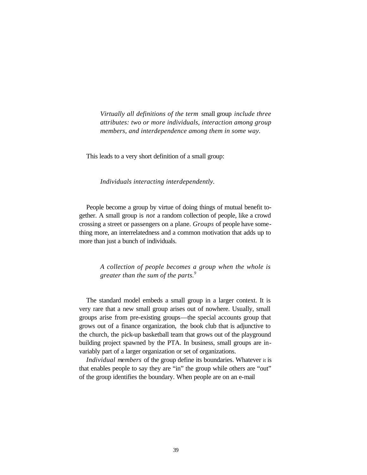*Virtually all definitions of the term* small group *include three attributes: two or more individuals, interaction among group members, and interdependence among them in some way.*

This leads to a very short definition of a small group:

*Individuals interacting interdependently.*

People become a group by virtue of doing things of mutual benefit together. A small group is *not* a random collection of people, like a crowd crossing a street or passengers on a plane. *Groups* of people have something more, an interrelatedness and a common motivation that adds up to more than just a bunch of individuals.

> *A collection of people becomes a group when the whole is greater than the sum of the parts.<sup>9</sup>*

The standard model embeds a small group in a larger context. It is very rare that a new small group arises out of nowhere. Usually, small groups arise from pre-existing groups—the special accounts group that grows out of a finance organization, the book club that is adjunctive to the church, the pick-up basketball team that grows out of the playground building project spawned by the PTA. In business, small groups are invariably part of a larger organization or set of organizations.

*Individual members* of the group define its boundaries. Whatever it is that enables people to say they are "in" the group while others are "out" of the group identifies the boundary. When people are on an e-mail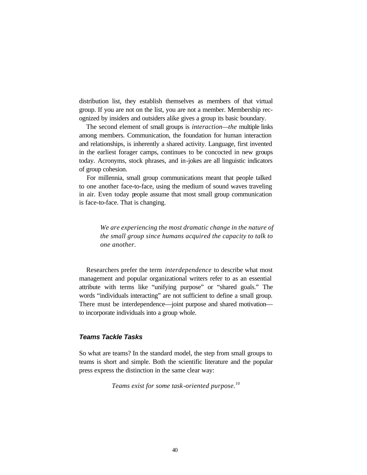distribution list, they establish themselves as members of that virtual group. If you are not on the list, you are not a member. Membership recognized by insiders and outsiders alike gives a group its basic boundary.

The second element of small groups is *interaction—the* multiple links among members. Communication, the foundation for human interaction and relationships, is inherently a shared activity. Language, first invented in the earliest forager camps, continues to be concocted in new groups today. Acronyms, stock phrases, and in-jokes are all linguistic indicators of group cohesion.

For millennia, small group communications meant that people talked to one another face-to-face, using the medium of sound waves traveling in air. Even today people assume that most small group communication is face-to-face. That is changing.

> *We are experiencing the most dramatic change in the nature of the small group since humans acquired the capacity to talk to one another.*

Researchers prefer the term *interdependence* to describe what most management and popular organizational writers refer to as an essential attribute with terms like "unifying purpose" or "shared goals." The words "individuals interacting" are not sufficient to define a small group. There must be interdependence—joint purpose and shared motivation to incorporate individuals into a group whole.

## *Teams Tackle Tasks*

So what are teams? In the standard model, the step from small groups to teams is short and simple. Both the scientific literature and the popular press express the distinction in the same clear way:

*Teams exist for some task-oriented purpose.*<sup>10</sup>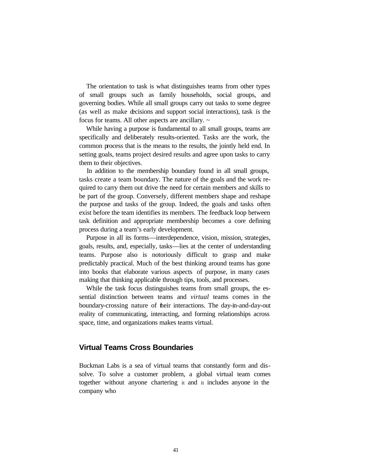The orientation to task is what distinguishes teams from other types of small groups such as family households, social groups, and governing bodies. While all small groups carry out tasks to some degree (as well as make decisions and support social interactions), task *is* the focus for teams. All other aspects are ancillary. ~

While having a purpose is fundamental to all small groups, teams are specifically and deliberately results-oriented. Tasks are the work, the common process that is the means to the results, the jointly held end. In setting goals, teams project desired results and agree upon tasks to carry them to their objectives.

In addition to the membership boundary found in all small groups, tasks create a team boundary. The nature of the goals and the work required to carry them out drive the need for certain members and skills to be part of the group. Conversely, different members shape and reshape the purpose and tasks of the group. Indeed, the goals and tasks often exist before the team identifies its members. The feedback loop between task definition and appropriate membership becomes a core defining process during a team's early development.

Purpose in all its forms—interdependence, vision, mission, strategies, goals, results, and, especially, tasks—lies at the center of understanding teams. Purpose also is notoriously difficult to grasp and make predictably practical. Much of the best thinking around teams has gone into books that elaborate various aspects of purpose, in many cases making that thinking applicable through tips, tools, and processes.

While the task focus distinguishes teams from small groups, the essential distinction between teams and *virtual* teams comes in the boundary-crossing nature of their interactions. The day-in-and-day-out reality of communicating, interacting, and forming relationships across space, time, and organizations makes teams virtual.

## **Virtual Teams Cross Boundaries**

Buckman Labs is a sea of virtual teams that constantly form and dissolve. To solve a customer problem, a global virtual team comes together without anyone chartering it and it includes anyone in the company who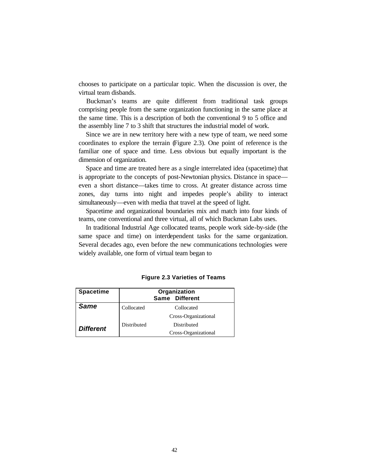chooses to participate on a particular topic. When the discussion is over, the virtual team disbands.

Buckman's teams are quite different from traditional task groups comprising people from the same organization functioning in the same place at the same time. This is a description of both the conventional 9 to 5 office and the assembly line 7 to 3 shift that structures the industrial model of work.

Since we are in new territory here with a new type of team, we need some coordinates to explore the terrain (Figure 2.3). One point of reference is the familiar one of space and time. Less obvious but equally important is the dimension of organization.

Space and time are treated here as a single interrelated idea (spacetime) that is appropriate to the concepts of post-Newtonian physics. Distance in space even a short distance—takes time to cross. At greater distance across time zones, day turns into night and impedes people's ability to interact simultaneously—even with media that travel at the speed of light.

Spacetime and organizational boundaries mix and match into four kinds of teams, one conventional and three virtual, all of which Buckman Labs uses.

In traditional Industrial Age collocated teams, people work side-by-side (the same space and time) on interdependent tasks for the same organization. Several decades ago, even before the new communications technologies were widely available, one form of virtual team began to

| <b>Spacetime</b> | Organization |                      |
|------------------|--------------|----------------------|
|                  |              | Same Different       |
| <b>Same</b>      | Collocated   | Collocated           |
|                  |              | Cross-Organizational |
| <b>Different</b> | Distributed  | Distributed          |
|                  |              | Cross-Organizational |

#### **Figure 2.3 Varieties of Teams**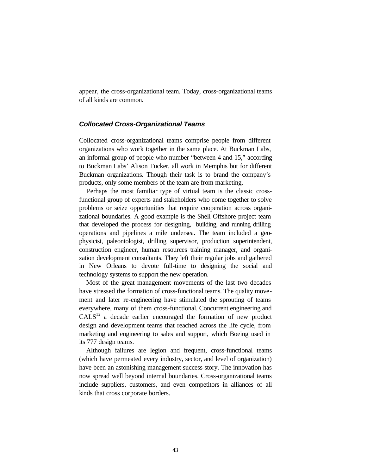appear, the cross-organizational team. Today, cross-organizational teams of all kinds are common.

### *Collocated Cross-Organizational Teams*

Collocated cross-organizational teams comprise people from different organizations who work together in the same place. At Buckman Labs, an informal group of people who number "between 4 and 15," according to Buckman Labs' Alison Tucker, all work in Memphis but for different Buckman organizations. Though their task is to brand the company's products, only some members of the team are from marketing.

Perhaps the most familiar type of virtual team is the classic crossfunctional group of experts and stakeholders who come together to solve problems or seize opportunities that require cooperation across organizational boundaries. A good example is the Shell Offshore project team that developed the process for designing, building, and running drilling operations and pipelines a mile undersea. The team included a geophysicist, paleontologist, drilling supervisor, production superintendent, construction engineer, human resources training manager, and organization development consultants. They left their regular jobs and gathered in New Orleans to devote full-time to designing the social and technology systems to support the new operation.

Most of the great management movements of the last two decades have stressed the formation of cross-functional teams. The quality movement and later re-engineering have stimulated the sprouting of teams everywhere, many of them cross-functional. Concurrent engineering and  $CALS<sup>12</sup>$  a decade earlier encouraged the formation of new product design and development teams that reached across the life cycle, from marketing and engineering to sales and support, which Boeing used in its 777 design teams.

Although failures are legion and frequent, cross-functional teams (which have permeated every industry, sector, and level of organization) have been an astonishing management success story. The innovation has now spread well beyond internal boundaries. Cross-organizational teams include suppliers, customers, and even competitors in alliances of all kinds that cross corporate borders.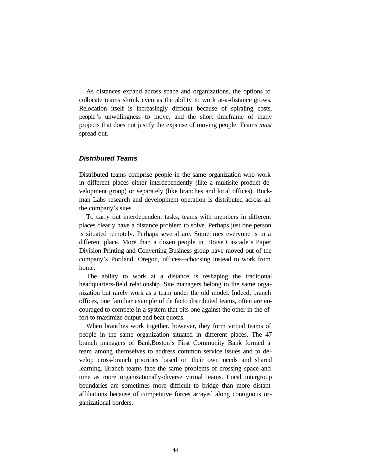As distances expand across space and organizations, the options to collocate teams shrink even as the ability to work at-a-distance grows. Relocation itself is increasingly difficult because of spiraling costs, people's unwillingness to move, and the short timeframe of many projects that does not justify the expense of moving people. Teams *must*  spread out.

### *Distributed Teams*

Distributed teams comprise people in the same organization who work in different places either interdependently (like a multisite product development group) or separately (like branches and local offices). Buckman Labs research and development operation is distributed across all the company's sites.

To carry out interdependent tasks, teams with members in different places clearly have a distance problem to solve. Perhaps just one person is situated remotely. Perhaps several are. Sometimes everyone is in a different place. More than a dozen people in Boise Cascade's Paper Division Printing and Converting Business group have moved out of the company's Portland, Oregon, offices—choosing instead to work from home.

The ability to work at a distance is reshaping the traditional headquarters-field relationship. Site managers belong to the same organization but rarely work as a team under the old model. Indeed, branch offices, one familiar example of de facto distributed teams, often are encouraged to compete in a system that pits one against the other in the effort to maximize output and beat quotas.

When branches work together, however, they form virtual teams of people in the same organization situated in different places. The 47 branch managers of BankBoston's First Community Bank formed a team among themselves to address common service issues and to develop cross-branch priorities based on their own needs and shared learning. Branch teams face the same problems of crossing space and time as more organizationally-diverse virtual teams. Local intergroup boundaries are sometimes more difficult to bridge than more distant affiliations because of competitive forces arrayed along contiguous organizational borders.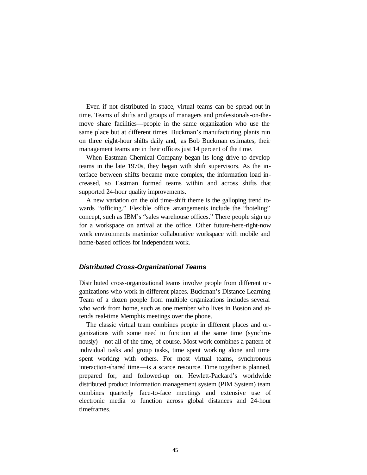Even if not distributed in space, virtual teams can be spread out in time. Teams of shifts and groups of managers and professionals-on-themove share facilities—people in the same organization who use the same place but at different times. Buckman's manufacturing plants run on three eight-hour shifts daily and, as Bob Buckman estimates, their management teams are in their offices just 14 percent of the time.

When Eastman Chemical Company began its long drive to develop teams in the late 1970s, they began with shift supervisors. As the interface between shifts became more complex, the information load increased, so Eastman formed teams within and across shifts that supported 24-hour quality improvements.

A new variation on the old time-shift theme is the galloping trend towards "officing." Flexible office arrangements include the "hoteling" concept, such as IBM's "sales warehouse offices." There people sign up for a workspace on arrival at the office. Other future-here-right-now work environments maximize collaborative workspace with mobile and home-based offices for independent work.

#### *Distributed Cross-Organizational Teams*

Distributed cross-organizational teams involve people from different organizations who work in different places. Buckman's Distance Learning Team of a dozen people from multiple organizations includes several who work from home, such as one member who lives in Boston and attends real-time Memphis meetings over the phone.

The classic virtual team combines people in different places and organizations with some need to function at the same time (synchronously)—not all of the time, of course. Most work combines a pattern of individual tasks and group tasks, time spent working alone and time spent working with others. For most virtual teams, synchronous interaction-shared time—is a scarce resource. Time together is planned, prepared for, and followed-up on. Hewlett-Packard's worldwide distributed product information management system (PIM System) team combines quarterly face-to-face meetings and extensive use of electronic media to function across global distances and 24-hour timeframes.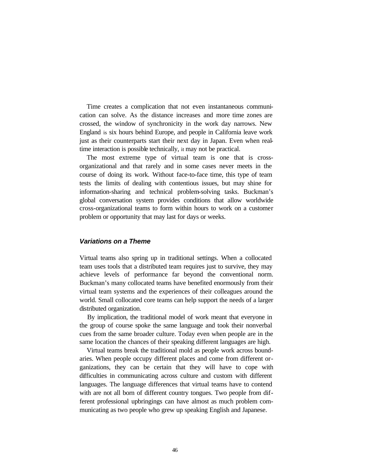Time creates a complication that not even instantaneous communication can solve. As the distance increases and more time zones are crossed, the window of synchronicity in the work day narrows. New England is six hours behind Europe, and people in California leave work just as their counterparts start their next day in Japan. Even when realtime interaction is possible technically, it may not be practical.

The most extreme type of virtual team is one that is crossorganizational and that rarely and in some cases never meets in the course of doing its work. Without face-to-face time, this type of team tests the limits of dealing with contentious issues, but may shine for information-sharing and technical problem-solving tasks. Buckman's global conversation system provides conditions that allow worldwide cross-organizational teams to form within hours to work on a customer problem or opportunity that may last for days or weeks.

### *Variations on a Theme*

Virtual teams also spring up in traditional settings. When a collocated team uses tools that a distributed team requires just to survive, they may achieve levels of performance far beyond the conventional norm. Buckman's many collocated teams have benefited enormously from their virtual team systems and the experiences of their colleagues around the world. Small collocated core teams can help support the needs of a larger distributed organization.

By implication, the traditional model of work meant that everyone in the group of course spoke the same language and took their nonverbal cues from the same broader culture. Today even when people are in the same location the chances of their speaking different languages are high.

Virtual teams break the traditional mold as people work across boundaries. When people occupy different places and come from different organizations, they can be certain that they will have to cope with difficulties in communicating across culture and custom with different languages. The language differences that virtual teams have to contend with are not all born of different country tongues. Two people from different professional upbringings can have almost as much problem communicating as two people who grew up speaking English and Japanese.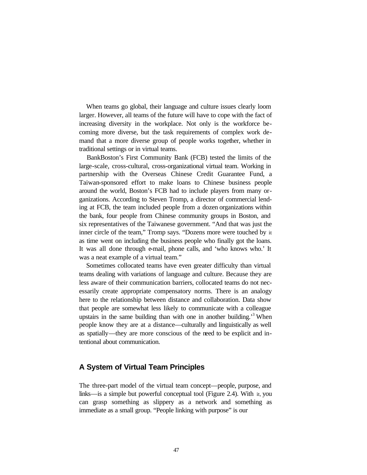When teams go global, their language and culture issues clearly loom larger. However, all teams of the future will have to cope with the fact of increasing diversity in the workplace. Not only is the workforce becoming more diverse, but the task requirements of complex work demand that a more diverse group of people works together, whether in traditional settings or in virtual teams.

BankBoston's First Community Bank (FCB) tested the limits of the large-scale, cross-cultural, cross-organizational virtual team. Working in partnership with the Overseas Chinese Credit Guarantee Fund, a Taiwan-sponsored effort to make loans to Chinese business people around the world, Boston's FCB had to include players from many organizations. According to Steven Tromp, a director of commercial lending at FCB, the team included people from a dozen organizations within the bank, four people from Chinese community groups in Boston, and six representatives of the Taiwanese government. "And that was just the inner circle of the team," Tromp says. "Dozens more were touched by it as time went on including the business people who finally got the loans. It was all done through e-mail, phone calls, and 'who knows who.' It was a neat example of a virtual team."

Sometimes collocated teams have even greater difficulty than virtual teams dealing with variations of language and culture. Because they are less aware of their communication barriers, collocated teams do not necessarily create appropriate compensatory norms. There is an analogy here to the relationship between distance and collaboration. Data show that people are somewhat less likely to communicate with a colleague upstairs in the same building than with one in another building.'<sup>3</sup>When people know they are at a distance—culturally and linguistically as well as spatially—they are more conscious of the need to be explicit and intentional about communication.

### **A System of Virtual Team Principles**

The three-part model of the virtual team concept—people, purpose, and links—is a simple but powerful conceptual tool (Figure 2.4). With it, you can grasp something as slippery as a network and something as immediate as a small group. "People linking with purpose" is our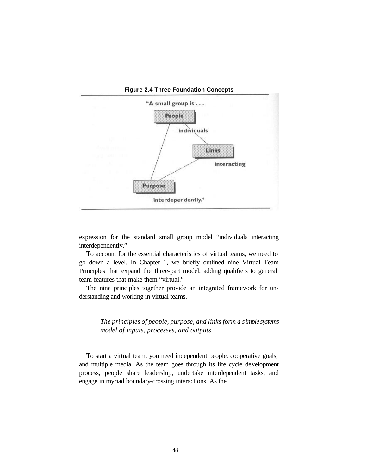

expression for the standard small group model "individuals interacting interdependently."

To account for the essential characteristics of virtual teams, we need to go down a level. In Chapter 1, we briefly outlined nine Virtual Team Principles that expand the three-part model, adding qualifiers to general team features that make them "virtual."

The nine principles together provide an integrated framework for understanding and working in virtual teams.

> *The principles of people, purpose, and links form a simple systems model of inputs, processes, and outputs.*

To start a virtual team, you need independent people, cooperative goals, and multiple media. As the team goes through its life cycle development process, people share leadership, undertake interdependent tasks, and engage in myriad boundary-crossing interactions. As the